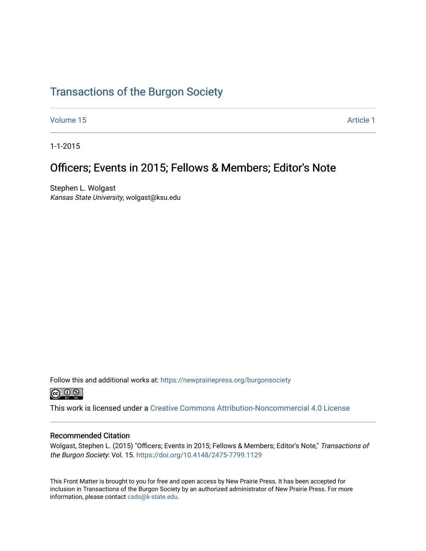## [Transactions of the Burgon Society](https://newprairiepress.org/burgonsociety)

[Volume 15](https://newprairiepress.org/burgonsociety/vol15) Article 1

1-1-2015

## Officers; Events in 2015; Fellows & Members; Editor's Note

Stephen L. Wolgast Kansas State University, wolgast@ksu.edu

Follow this and additional works at: [https://newprairiepress.org/burgonsociety](https://newprairiepress.org/burgonsociety?utm_source=newprairiepress.org%2Fburgonsociety%2Fvol15%2Fiss1%2F1&utm_medium=PDF&utm_campaign=PDFCoverPages)



This work is licensed under a [Creative Commons Attribution-Noncommercial 4.0 License](https://creativecommons.org/licenses/by-nc/4.0/)

#### Recommended Citation

Wolgast, Stephen L. (2015) "Officers; Events in 2015; Fellows & Members; Editor's Note," Transactions of the Burgon Society: Vol. 15. [https://doi.org/10.4148/2475-7799.1129](https://dx.doi.org/10.4148/2475-7799.1129) 

This Front Matter is brought to you for free and open access by New Prairie Press. It has been accepted for inclusion in Transactions of the Burgon Society by an authorized administrator of New Prairie Press. For more information, please contact [cads@k-state.edu](mailto:cads@k-state.edu).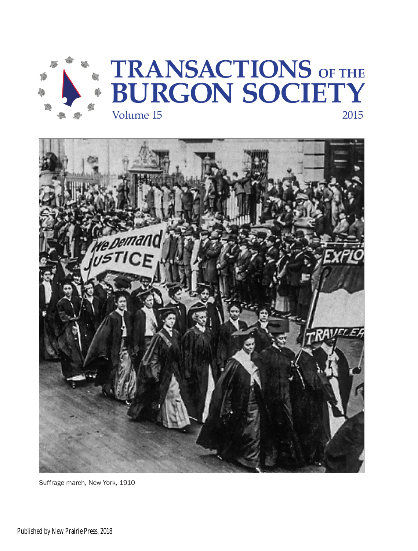



Suffrage march, New York, 1910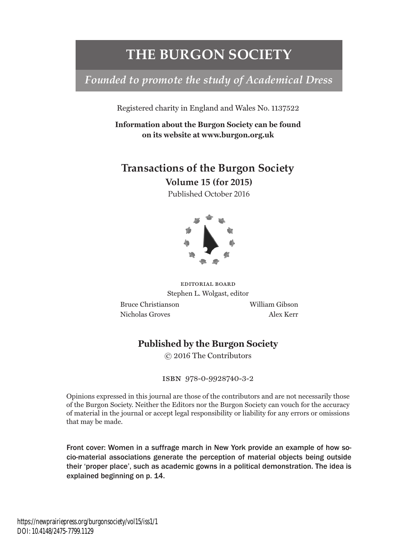## **THE BURGON SOCIETY**

## *Founded to promote the study of Academical Dress*

Registered charity in England and Wales No. 1137522

**Information about the Burgon Society can be found on its website at www.burgon.org.uk**

## **Transactions of the Burgon Society**

**Volume 15 (for 2015)**

Published October 2016



editorial board Stephen L. Wolgast, editor

 Bruce Christianson William Gibson Nicholas Groves Alex Kerr

### **Published by the Burgon Society**

© 2016 The Contributors

isbn 978-0-9928740-3-2

Opinions expressed in this journal are those of the contributors and are not necessarily those of the Burgon Society. Neither the Editors nor the Burgon Society can vouch for the accuracy of material in the journal or accept legal responsibility or liability for any errors or omissions that may be made.

Front cover: Women in a suffrage march in New York provide an example of how socio-material associations generate the perception of material objects being outside their 'proper place', such as academic gowns in a political demonstration. The idea is explained beginning on p. 14.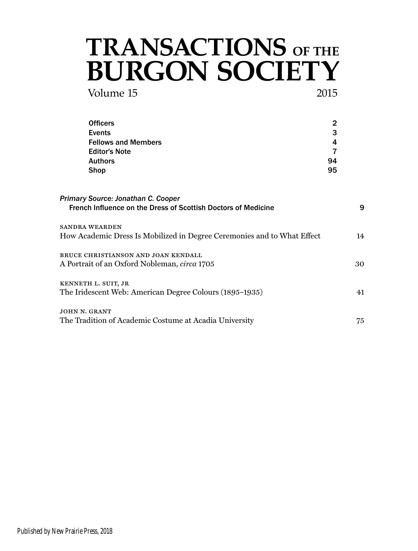# Volume 15 2015 **TRANSACTIONS OF THE BURGON SOCIETY**

| <b>Officers</b>                                                                                     |             |    |
|-----------------------------------------------------------------------------------------------------|-------------|----|
| <b>Events</b><br><b>Fellows and Members</b><br><b>Editor's Note</b>                                 | 3<br>4<br>7 |    |
|                                                                                                     |             |    |
|                                                                                                     |             |    |
| <b>Authors</b>                                                                                      | 94          |    |
| Shop                                                                                                | 95          |    |
| Primary Source: Jonathan C. Cooper<br>French Influence on the Dress of Scottish Doctors of Medicine |             | 9  |
| <b>SANDRA WEARDEN</b><br>How Academic Dress Is Mobilized in Degree Ceremonies and to What Effect    |             | 14 |
|                                                                                                     |             |    |
| BRUCE CHRISTIANSON AND JOAN KENDALL                                                                 |             |    |
| A Portrait of an Oxford Nobleman, circa 1705                                                        |             | 30 |
| KENNETH L. SUIT, JR                                                                                 |             |    |
| The Iridescent Web: American Degree Colours (1895–1935)                                             |             | 41 |
| JOHN N. GRANT                                                                                       |             |    |
| The Tradition of Academic Costume at Acadia University                                              |             | 75 |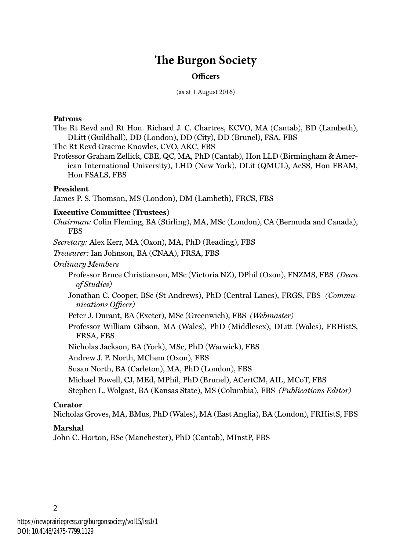## **The Burgon Society**

#### **Officers**

(as at 1 August 2016)

#### **Patrons**

The Rt Revd and Rt Hon. Richard J. C. Chartres, KCVO, MA (Cantab), BD (Lambeth), DLitt (Guildhall), DD (London), DD (City), DD (Brunel), FSA, FBS

The Rt Revd Graeme Knowles, CVO, AKC, FBS

Professor Graham Zellick, CBE, QC, MA, PhD (Cantab), Hon LLD (Birmingham & American International University), LHD (New York), DLit (QMUL), AcSS, Hon FRAM, Hon FSALS, FBS

#### **President**

James P. S. Thomson, MS (London), DM (Lambeth), FRCS, FBS

#### **Executive Committee (Trustees)**

*Chairman:* Colin Fleming, BA (Stirling), MA, MSc (London), CA (Bermuda and Canada), FBS

*Secretary:* Alex Kerr, MA (Oxon), MA, PhD (Reading), FBS

*Treasurer:* Ian Johnson, BA (CNAA), FRSA, FBS

*Ordinary Members*

Professor Bruce Christianson, MSc (Victoria NZ), DPhil (Oxon), FNZMS, FBS *(Dean of Studies)*

Jonathan C. Cooper, BSc (St Andrews), PhD (Central Lancs), FRGS, FBS *(Communications Officer)*

Peter J. Durant, BA (Exeter), MSc (Greenwich), FBS *(Webmaster)*

Professor William Gibson, MA (Wales), PhD (Middlesex), DLitt (Wales), FRHistS, FRSA, FBS

Nicholas Jackson, BA (York), MSc, PhD (Warwick), FBS

Andrew J. P. North, MChem (Oxon), FBS

Susan North, BA (Carleton), MA, PhD (London), FBS

Michael Powell, CJ, MEd, MPhil, PhD (Brunel), ACertCM, AIL, MCoT, FBS

Stephen L. Wolgast, BA (Kansas State), MS (Columbia), FBS *(Publications Editor)*

#### **Curator**

Nicholas Groves, MA, BMus, PhD (Wales), MA (East Anglia), BA (London), FRHistS, FBS

#### **Marshal**

2

John C. Horton, BSc (Manchester), PhD (Cantab), MInstP, FBS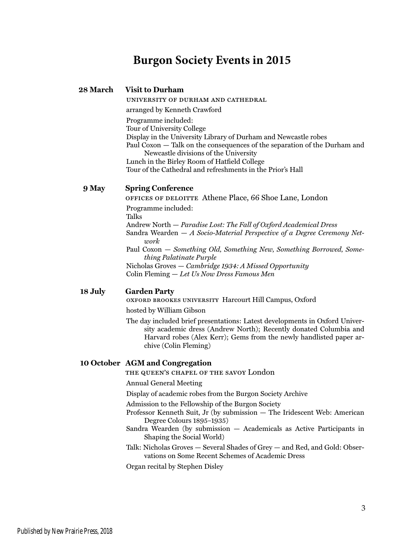## **Burgon Society Events in 2015**

#### **28 March Visit to Durham**

university of durham and cathedral arranged by Kenneth Crawford Programme included: Tour of University College Display in the University Library of Durham and Newcastle robes Paul Coxon — Talk on the consequences of the separation of the Durham and Newcastle divisions of the University Lunch in the Birley Room of Hatfield College Tour of the Cathedral and refreshments in the Prior's Hall

### **9 May Spring Conference**

offices of deloitte Athene Place, 66 Shoe Lane, London Programme included: Talks Andrew North — *Paradise Lost: The Fall of Oxford Academical Dress* Sandra Wearden — *A Socio-Material Perspective of a Degree Ceremony Network* Paul Coxon — *Something Old, Something New, Something Borrowed, Something Palatinate Purple* Nicholas Groves — *Cambridge 1934: A Missed Opportunity* Colin Fleming — *Let Us Now Dress Famous Men*

#### **18 July Garden Party**

oxford brookes university Harcourt Hill Campus, Oxford

hosted by William Gibson

The day included brief presentations: Latest developments in Oxford University academic dress (Andrew North); Recently donated Columbia and Harvard robes (Alex Kerr); Gems from the newly handlisted paper archive (Colin Fleming)

#### **10 October AGM and Congregation**

the queen's chapel of the savoy London

Annual General Meeting

Display of academic robes from the Burgon Society Archive

Admission to the Fellowship of the Burgon Society

- Professor Kenneth Suit, Jr (by submission The Iridescent Web: American Degree Colours 1895–1935)
- Sandra Wearden (by submission Academicals as Active Participants in Shaping the Social World)
- Talk: Nicholas Groves Several Shades of Grey and Red, and Gold: Observations on Some Recent Schemes of Academic Dress

Organ recital by Stephen Disley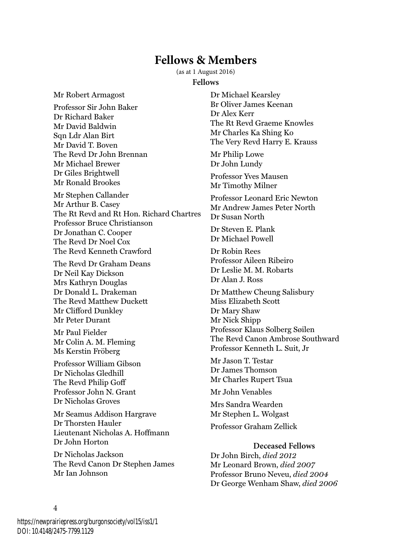## **Fellows & Members**

(as at 1 August 2016)

#### **Fellows**

Mr Robert Armagost

Professor Sir John Baker Dr Richard Baker Mr David Baldwin Sqn Ldr Alan Birt Mr David T. Boven The Revd Dr John Brennan Mr Michael Brewer Dr Giles Brightwell Mr Ronald Brookes

Mr Stephen Callander Mr Arthur B. Casey The Rt Revd and Rt Hon. Richard Chartres Professor Bruce Christianson Dr Jonathan C. Cooper The Revd Dr Noel Cox The Revd Kenneth Crawford

The Revd Dr Graham Deans Dr Neil Kay Dickson Mrs Kathryn Douglas Dr Donald L. Drakeman The Revd Matthew Duckett Mr Clifford Dunkley Mr Peter Durant

Mr Paul Fielder Mr Colin A. M. Fleming Ms Kerstin Fröberg

Professor William Gibson Dr Nicholas Gledhill The Revd Philip Goff Professor John N. Grant Dr Nicholas Groves

Mr Seamus Addison Hargrave Dr Thorsten Hauler Lieutenant Nicholas A. Hoffmann Dr John Horton

Dr Nicholas Jackson The Revd Canon Dr Stephen James Mr Ian Johnson

Dr Michael Kearsley Br Oliver James Keenan Dr Alex Kerr The Rt Revd Graeme Knowles Mr Charles Ka Shing Ko The Very Revd Harry E. Krauss

Mr Philip Lowe Dr John Lundy

Professor Yves Mausen Mr Timothy Milner

Professor Leonard Eric Newton Mr Andrew James Peter North Dr Susan North

Dr Steven E. Plank Dr Michael Powell

Dr Robin Rees Professor Aileen Ribeiro Dr Leslie M. M. Robarts Dr Alan J. Ross

Dr Matthew Cheung Salisbury Miss Elizabeth Scott Dr Mary Shaw Mr Nick Shipp Professor Klaus Solberg Søilen The Revd Canon Ambrose Southward Professor Kenneth L. Suit, Jr

Mr Jason T. Testar Dr James Thomson Mr Charles Rupert Tsua

Mr John Venables

Mrs Sandra Wearden Mr Stephen L. Wolgast

Professor Graham Zellick

#### **Deceased Fellows**

Dr John Birch, *died 2012* Mr Leonard Brown, *died 2007* Professor Bruno Neveu, *died 2004* Dr George Wenham Shaw, *died 2006*

4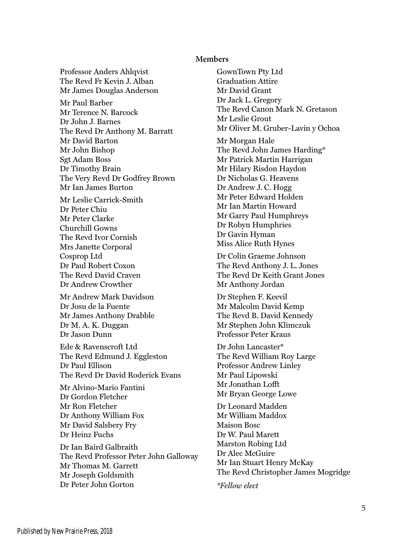#### **Members**

Professor Anders Ahlqvist The Revd Fr Kevin J. Alban Mr James Douglas Anderson Mr Paul Barber Mr Terence N. Barcock Dr John J. Barnes The Revd Dr Anthony M. Barratt Mr David Barton Mr John Bishop Sgt Adam Boss Dr Timothy Brain The Very Revd Dr Godfrey Brown Mr Ian James Burton

Mr Leslie Carrick-Smith Dr Peter Chiu Mr Peter Clarke Churchill Gowns The Revd Ivor Cornish Mrs Janette Corporal Cosprop Ltd Dr Paul Robert Coxon The Revd David Craven Dr Andrew Crowther

Mr Andrew Mark Davidson Dr Josu de la Fuente Mr James Anthony Drabble Dr M. A. K. Duggan Dr Jason Dunn

Ede & Ravenscroft Ltd The Revd Edmund J. Eggleston Dr Paul Ellison The Revd Dr David Roderick Evans

Mr Alvino-Mario Fantini Dr Gordon Fletcher Mr Ron Fletcher Dr Anthony William Fox Mr David Salsbery Fry Dr Heinz Fuchs

Dr Ian Baird Galbraith The Revd Professor Peter John Galloway Mr Thomas M. Garrett Mr Joseph Goldsmith Dr Peter John Gorton

GownTown Pty Ltd Graduation Attire Mr David Grant Dr Jack L. Gregory The Revd Canon Mark N. Gretason Mr Leslie Grout Mr Oliver M. Gruber-Lavin y Ochoa Mr Morgan Hale The Revd John James Harding\* Mr Patrick Martin Harrigan Mr Hilary Risdon Haydon Dr Nicholas G. Heavens Dr Andrew J. C. Hogg Mr Peter Edward Holden Mr Ian Martin Howard Mr Garry Paul Humphreys Dr Robyn Humphries Dr Gavin Hyman Miss Alice Ruth Hynes

Dr Colin Graeme Johnson The Revd Anthony J. L. Jones The Revd Dr Keith Grant Jones Mr Anthony Jordan

Dr Stephen F. Keevil Mr Malcolm David Kemp The Revd B. David Kennedy Mr Stephen John Klimczuk Professor Peter Kraus

Dr John Lancaster\* The Revd William Roy Large Professor Andrew Linley Mr Paul Lipowski Mr Jonathan Lofft Mr Bryan George Lowe

Dr Leonard Madden Mr William Maddox Maison Bosc Dr W. Paul Marett Marston Robing Ltd Dr Alec McGuire Mr Ian Stuart Henry McKay The Revd Christopher James Mogridge

*\*Fellow elect*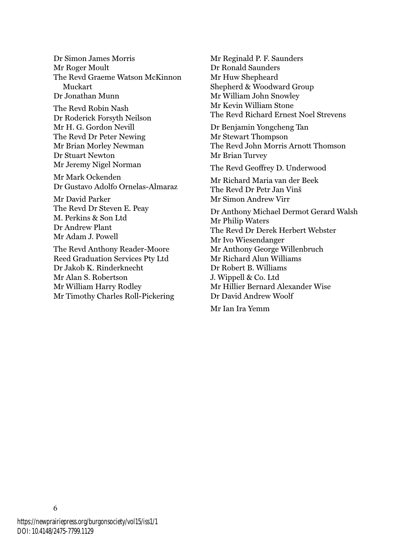Dr Simon James Morris Mr Roger Moult The Revd Graeme Watson McKinnon Muckart Dr Jonathan Munn

The Revd Robin Nash Dr Roderick Forsyth Neilson Mr H. G. Gordon Nevill The Revd Dr Peter Newing Mr Brian Morley Newman Dr Stuart Newton Mr Jeremy Nigel Norman

Mr Mark Ockenden Dr Gustavo Adolfo Ornelas-Almaraz

Mr David Parker The Revd Dr Steven E. Peay M. Perkins & Son Ltd Dr Andrew Plant Mr Adam J. Powell

The Revd Anthony Reader-Moore Reed Graduation Services Pty Ltd Dr Jakob K. Rinderknecht Mr Alan S. Robertson Mr William Harry Rodley Mr Timothy Charles Roll-Pickering Mr Reginald P. F. Saunders Dr Ronald Saunders Mr Huw Shepheard Shepherd & Woodward Group Mr William John Snowley Mr Kevin William Stone The Revd Richard Ernest Noel Strevens

Dr Benjamin Yongcheng Tan Mr Stewart Thompson The Revd John Morris Arnott Thomson Mr Brian Turvey

The Revd Geoffrey D. Underwood

Mr Richard Maria van der Beek The Revd Dr Petr Jan Vinš Mr Simon Andrew Virr

Dr Anthony Michael Dermot Gerard Walsh Mr Philip Waters The Revd Dr Derek Herbert Webster Mr Ivo Wiesendanger Mr Anthony George Willenbruch Mr Richard Alun Williams Dr Robert B. Williams J. Wippell & Co. Ltd Mr Hillier Bernard Alexander Wise Dr David Andrew Woolf

Mr Ian Ira Yemm

6